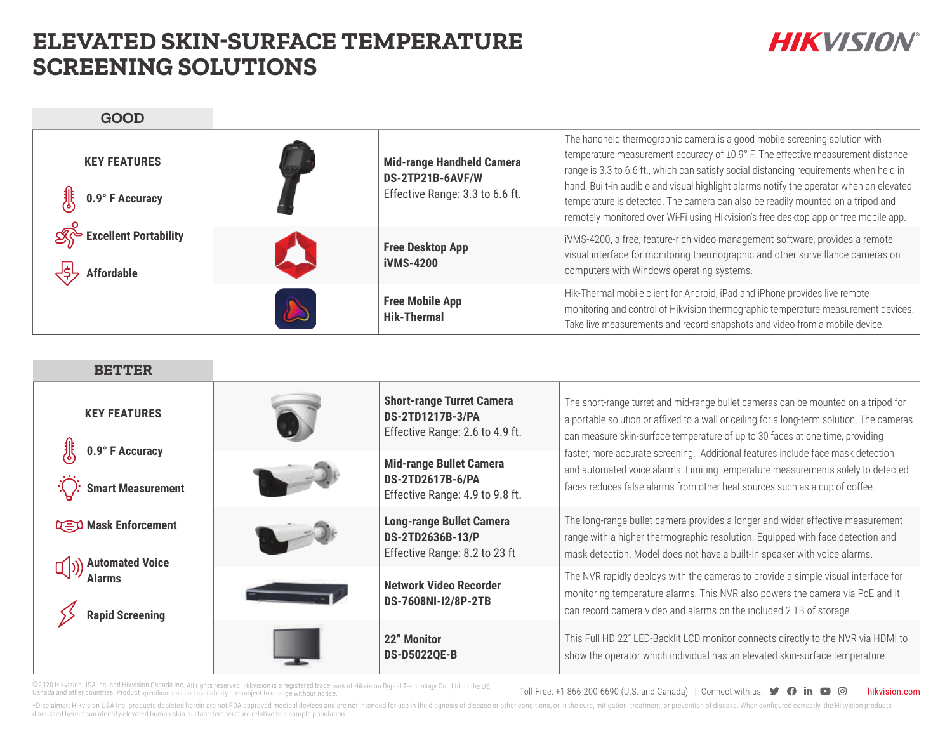## **ELEVATED SKIN-SURFACE TEMPERATURE SCREENING SOLUTIONS**

# **HIKVISION®**

**GOOD**

| <b>KEY FEATURES</b><br>0.9° F Accuracy     |                                             | <b>Mid-range Handheld Camera</b><br>DS-2TP21B-6AVF/W<br>Effective Range: 3.3 to 6.6 ft. | The handheld thermographic camera is a good mobile screening solution with<br>temperature measurement accuracy of ±0.9° F. The effective measurement distance<br>range is 3.3 to 6.6 ft., which can satisfy social distancing requirements when held in<br>hand. Built-in audible and visual highlight alarms notify the operator when an elevated<br>temperature is detected. The camera can also be readily mounted on a tripod and<br>remotely monitored over Wi-Fi using Hikvision's free desktop app or free mobile app. |
|--------------------------------------------|---------------------------------------------|-----------------------------------------------------------------------------------------|-------------------------------------------------------------------------------------------------------------------------------------------------------------------------------------------------------------------------------------------------------------------------------------------------------------------------------------------------------------------------------------------------------------------------------------------------------------------------------------------------------------------------------|
| Excellent Portability<br><b>Affordable</b> | <b>Free Desktop App</b><br><b>iVMS-4200</b> |                                                                                         | iVMS-4200, a free, feature-rich video management software, provides a remote<br>visual interface for monitoring thermographic and other surveillance cameras on<br>computers with Windows operating systems.                                                                                                                                                                                                                                                                                                                  |
|                                            |                                             | <b>Free Mobile App</b><br><b>Hik-Thermal</b>                                            | Hik-Thermal mobile client for Android, iPad and iPhone provides live remote<br>monitoring and control of Hikvision thermographic temperature measurement devices.<br>Take live measurements and record snapshots and video from a mobile device.                                                                                                                                                                                                                                                                              |

| <b>BETTER</b>                                         |                                                                                       |                                                                                                                                                                                                                                                     |                                                                                                                                                                                                                                                                  |
|-------------------------------------------------------|---------------------------------------------------------------------------------------|-----------------------------------------------------------------------------------------------------------------------------------------------------------------------------------------------------------------------------------------------------|------------------------------------------------------------------------------------------------------------------------------------------------------------------------------------------------------------------------------------------------------------------|
| <b>KEY FEATURES</b>                                   | <b>DS-2TD1217B-3/PA</b>                                                               | <b>Short-range Turret Camera</b><br>Effective Range: 2.6 to 4.9 ft.                                                                                                                                                                                 | The short-range turret and mid-range bullet cameras can be mounted on a tripod for<br>a portable solution or affixed to a wall or ceiling for a long-term solution. The cameras<br>can measure skin-surface temperature of up to 30 faces at one time, providing |
| 0.9° F Accuracy<br><b>Smart Measurement</b>           | <b>Mid-range Bullet Camera</b><br>DS-2TD2617B-6/PA<br>Effective Range: 4.9 to 9.8 ft. | faster, more accurate screening. Additional features include face mask detection<br>and automated voice alarms. Limiting temperature measurements solely to detected<br>faces reduces false alarms from other heat sources such as a cup of coffee. |                                                                                                                                                                                                                                                                  |
| <b>Q=D Mask Enforcement</b><br><b>Automated Voice</b> |                                                                                       | <b>Long-range Bullet Camera</b><br>DS-2TD2636B-13/P<br>Effective Range: 8.2 to 23 ft                                                                                                                                                                | The long-range bullet camera provides a longer and wider effective measurement<br>range with a higher thermographic resolution. Equipped with face detection and<br>mask detection. Model does not have a built-in speaker with voice alarms.                    |
|                                                       |                                                                                       | Network Video Recorder<br>DS-7608NI-I2/8P-2TB                                                                                                                                                                                                       | The NVR rapidly deploys with the cameras to provide a simple visual interface for<br>monitoring temperature alarms. This NVR also powers the camera via PoE and it<br>can record camera video and alarms on the included 2 TB of storage.                        |
|                                                       |                                                                                       | 22" Monitor<br><b>DS-D5022QE-B</b>                                                                                                                                                                                                                  | This Full HD 22" LED-Backlit LCD monitor connects directly to the NVR via HDMI to<br>show the operator which individual has an elevated skin-surface temperature.                                                                                                |

©2020 Hikvision USA Inc. and Hikvision Canada Inc. All rights reserved. Hikvision is a registered trademark of Hikvision Digital Technology Co., Ltd. in the US,<br>Canada and other countries. Product specifications and availa

Toll-Free: +1 866-200-6690 (U.S. and Canada) | Connect with us:  $\bullet$   $\bullet$  in  $\bullet$   $\circ$   $\circ$  | hikvision.com

\*Disclaimer: Hikvision USA Inc. products depicted herein are not FDA approved medical devices and are not intended for use in the diagnosis of disease or other conditions, or in the cure, mitigation, treatment, or preventi discussed herein can identify elevated human skin-surface temperature relative to a sample population.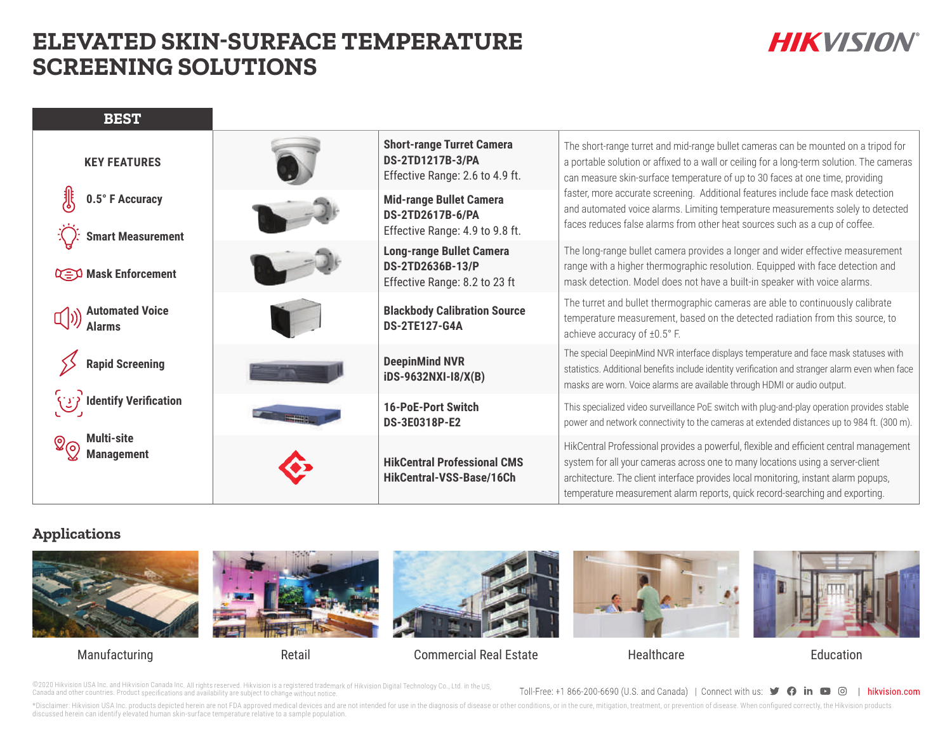## **ELEVATED SKIN-SURFACE TEMPERATURE SCREENING SOLUTIONS**

# **HIKVISION®**

| <b>BEST</b>                                                           |                                                                                      |                                                                                                |                                                                                                                                                                                                                                                                                                                                                                                                                                                                                                                         |  |
|-----------------------------------------------------------------------|--------------------------------------------------------------------------------------|------------------------------------------------------------------------------------------------|-------------------------------------------------------------------------------------------------------------------------------------------------------------------------------------------------------------------------------------------------------------------------------------------------------------------------------------------------------------------------------------------------------------------------------------------------------------------------------------------------------------------------|--|
| <b>KEY FEATURES</b>                                                   |                                                                                      | <b>Short-range Turret Camera</b><br><b>DS-2TD1217B-3/PA</b><br>Effective Range: 2.6 to 4.9 ft. | The short-range turret and mid-range bullet cameras can be mounted on a tripod for<br>a portable solution or affixed to a wall or ceiling for a long-term solution. The cameras<br>can measure skin-surface temperature of up to 30 faces at one time, providing<br>faster, more accurate screening. Additional features include face mask detection<br>and automated voice alarms. Limiting temperature measurements solely to detected<br>faces reduces false alarms from other heat sources such as a cup of coffee. |  |
| 0.5° F Accuracy<br><b>Smart Measurement</b>                           |                                                                                      | <b>Mid-range Bullet Camera</b><br>DS-2TD2617B-6/PA<br>Effective Range: 4.9 to 9.8 ft.          |                                                                                                                                                                                                                                                                                                                                                                                                                                                                                                                         |  |
| <b>Q=O</b> Mask Enforcement                                           | <b>Long-range Bullet Camera</b><br>DS-2TD2636B-13/P<br>Effective Range: 8.2 to 23 ft |                                                                                                | The long-range bullet camera provides a longer and wider effective measurement<br>range with a higher thermographic resolution. Equipped with face detection and<br>mask detection. Model does not have a built-in speaker with voice alarms.                                                                                                                                                                                                                                                                           |  |
| <b>Automated Voice</b>                                                |                                                                                      | <b>Blackbody Calibration Source</b><br><b>DS-2TE127-G4A</b>                                    | The turret and bullet thermographic cameras are able to continuously calibrate<br>temperature measurement, based on the detected radiation from this source, to<br>achieve accuracy of ±0.5° F.                                                                                                                                                                                                                                                                                                                         |  |
| <b>Rapid Screening</b>                                                |                                                                                      | <b>DeepinMind NVR</b><br>iDS-9632NXI-I8/X(B)                                                   | The special DeepinMind NVR interface displays temperature and face mask statuses with<br>statistics. Additional benefits include identity verification and stranger alarm even when face<br>masks are worn. Voice alarms are available through HDMI or audio output.                                                                                                                                                                                                                                                    |  |
| Identify Verification (لال)<br><b>Multi-site</b><br><b>Management</b> |                                                                                      | <b>16-PoE-Port Switch</b><br><b>DS-3E0318P-E2</b>                                              | This specialized video surveillance PoE switch with plug-and-play operation provides stable<br>power and network connectivity to the cameras at extended distances up to 984 ft. (300 m).                                                                                                                                                                                                                                                                                                                               |  |
|                                                                       |                                                                                      | <b>HikCentral Professional CMS</b><br>HikCentral-VSS-Base/16Ch                                 | HikCentral Professional provides a powerful, flexible and efficient central management<br>system for all your cameras across one to many locations using a server-client<br>architecture. The client interface provides local monitoring, instant alarm popups,<br>temperature measurement alarm reports, quick record-searching and exporting.                                                                                                                                                                         |  |

#### **Applications**







#### Manufacturing **Education** Retail Commercial Real Estate Healthcare Healthcare Education



©2020 Hikvision USA Inc. and Hikvision Canada Inc. All rights reserved. Hikvision is a registered trademark of Hikvision Digital Technology Co., Ltd. in the US,<br>Canada and other countries. Product specifications and availa

Toll-Free: +1 866-200-6690 (U.S. and Canada) | Connect with us:  $\bullet$   $\bullet$  in  $\bullet$   $\circ$   $\circ$  | hikvision.com

\*Disclaimer: Hikvision USA Inc. products depicted herein are not FDA approved medical devices and are not intended for use in the diagnosis of disease or other conditions, or in the cure, mitigation, treatment, or preventi discussed herein can identify elevated human skin-surface temperature relative to a sample population.